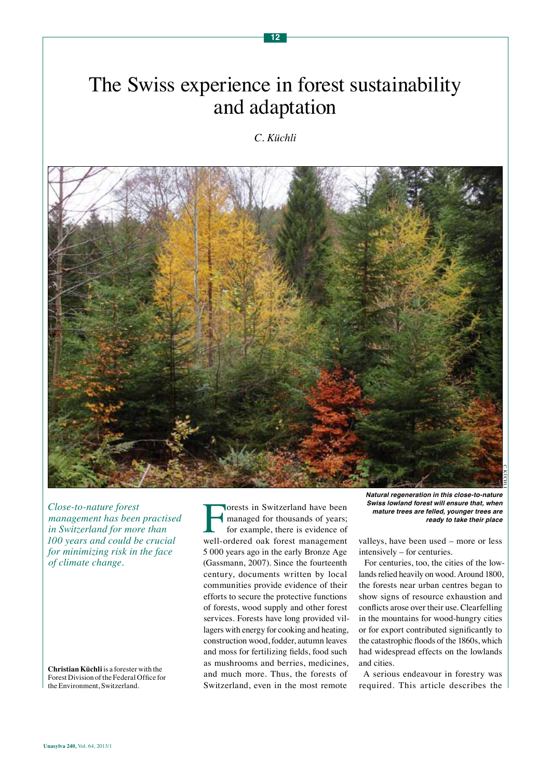# The Swiss experience in forest sustainability and adaptation

*C. Küchli*



*Close-to-nature forest management has been practised in Switzerland for more than 100 years and could be crucial for minimizing risk in the face of climate change.*

**Christian Küchli** is a forester with the Forest Division of the Federal Office for the Environment, Switzerland.

**Forests in Switzerland have been**<br>
managed for thousands of years;<br>
for example, there is evidence of<br>
well-ordered oak forest management managed for thousands of years; for example, there is evidence of 5 000 years ago in the early Bronze Age (Gassmann, 2007). Since the fourteenth century, documents written by local communities provide evidence of their efforts to secure the protective functions of forests, wood supply and other forest services. Forests have long provided villagers with energy for cooking and heating, construction wood, fodder, autumn leaves and moss for fertilizing fields, food such as mushrooms and berries, medicines, and much more. Thus, the forests of Switzerland, even in the most remote

valleys, have been used – more or less intensively – for centuries.

For centuries, too, the cities of the lowlands relied heavily on wood. Around 1800, the forests near urban centres began to show signs of resource exhaustion and conflicts arose over their use. Clearfelling in the mountains for wood-hungry cities or for export contributed significantly to the catastrophic floods of the 1860s, which had widespread effects on the lowlands and cities.

A serious endeavour in forestry was required. This article describes the

*N***atural regeneration in this close-to-nature Swiss lowland forest will ensure that, when mature trees are felled, younger trees are ready to take their place**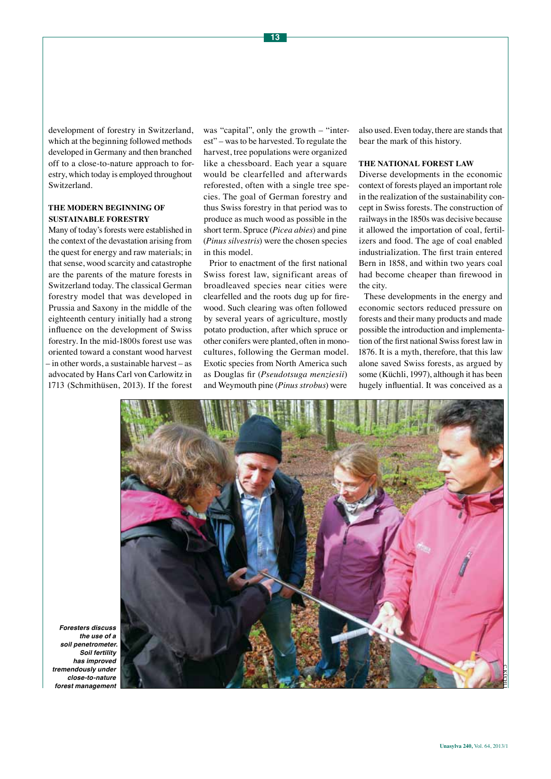development of forestry in Switzerland, which at the beginning followed methods developed in Germany and then branched off to a close-to-nature approach to forestry, which today is employed throughout Switzerland.

## **THE MODERN BEGINNING OF SUSTAINABLE FORESTRY**

Many of today's forests were established in the context of the devastation arising from the quest for energy and raw materials; in that sense, wood scarcity and catastrophe are the parents of the mature forests in Switzerland today. The classical German forestry model that was developed in Prussia and Saxony in the middle of the eighteenth century initially had a strong influence on the development of Swiss forestry. In the mid-1800s forest use was oriented toward a constant wood harvest – in other words, a sustainable harvest – as advocated by Hans Carl von Carlowitz in 1713 (Schmithüsen, 2013). If the forest

was "capital", only the growth – "interest" – was to be harvested. To regulate the harvest, tree populations were organized like a chessboard. Each year a square would be clearfelled and afterwards reforested, often with a single tree species. The goal of German forestry and thus Swiss forestry in that period was to produce as much wood as possible in the short term. Spruce (*Picea abies*) and pine (*Pinus silvestris*) were the chosen species in this model.

Prior to enactment of the first national Swiss forest law, significant areas of broadleaved species near cities were clearfelled and the roots dug up for firewood. Such clearing was often followed by several years of agriculture, mostly potato production, after which spruce or other conifers were planted, often in monocultures, following the German model. Exotic species from North America such as Douglas fir (*Pseudotsuga menziesii*) and Weymouth pine (*Pinus strobus*) were

also used. Even today, there are stands that bear the mark of this history.

#### **THE NATIONAL FOREST LAW**

Diverse developments in the economic context of forests played an important role in the realization of the sustainability concept in Swiss forests. The construction of railways in the 1850s was decisive because it allowed the importation of coal, fertilizers and food. The age of coal enabled industrialization. The first train entered Bern in 1858, and within two years coal had become cheaper than firewood in the city.

These developments in the energy and economic sectors reduced pressure on forests and their many products and made possible the introduction and implementation of the first national Swiss forest law in 1876. It is a myth, therefore, that this law alone saved Swiss forests, as argued by some (Küchli, 1997), although it has been hugely influential. It was conceived as a



**Foresters discuss the use of a**  *so***il penetrometer. So***il fe***rtility has improved tremendously under close-to-nature**  *forest management*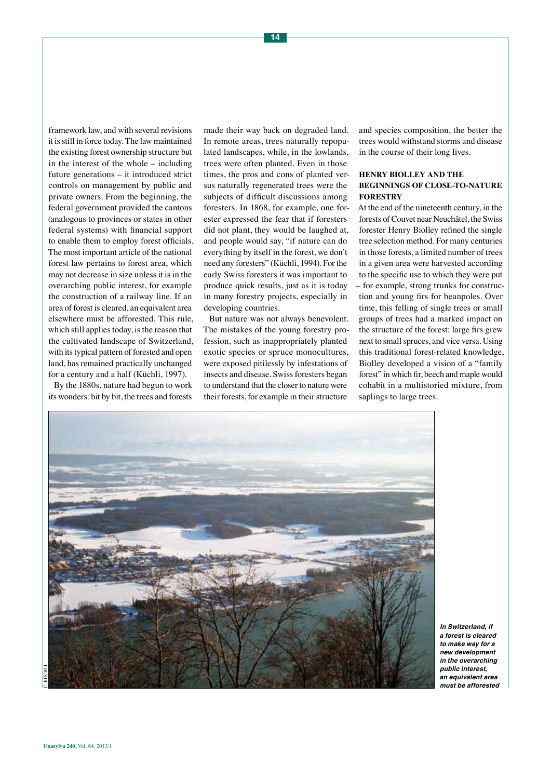framework law, and with several revisions it is still in force today. The law maintained the existing forest ownership structure but in the interest of the whole – including future generations – it introduced strict controls on management by public and private owners. From the beginning, the federal government provided the cantons (analogous to provinces or states in other federal systems) with financial support to enable them to employ forest officials. The most important article of the national forest law pertains to forest area, which may not decrease in size unless it is in the overarching public interest, for example the construction of a railway line. If an area of forest is cleared, an equivalent area elsewhere must be afforested. This rule, which still applies today, is the reason that the cultivated landscape of Switzerland, with its typical pattern of forested and open land, has remained practically unchanged for a century and a half (Küchli, 1997).

By the 1880s, nature had begun to work its wonders: bit by bit, the trees and forests

made their way back on degraded land. In remote areas, trees naturally repopulated landscapes, while, in the lowlands, trees were often planted. Even in those times, the pros and cons of planted versus naturally regenerated trees were the subjects of difficult discussions among foresters. In 1868, for example, one forester expressed the fear that if foresters did not plant, they would be laughed at, and people would say, "if nature can do everything by itself in the forest, we don't need any foresters" (Küchli, 1994). For the early Swiss foresters it was important to produce quick results, just as it is today in many forestry projects, especially in developing countries.

But nature was not always benevolent. The mistakes of the young forestry profession, such as inappropriately planted exotic species or spruce monocultures, were exposed pitilessly by infestations of insects and disease. Swiss foresters began to understand that the closer to nature were their forests, for example in their structure

and species composition, the better the trees would withstand storms and disease in the course of their long lives.

## **HENRY BIOLLEY AND THE BEGINNINGS OF CLOSE-TO-NATURE FORESTRY**

At the end of the nineteenth century, in the forests of Couvet near Neuchâtel, the Swiss forester Henry Biolley refined the single tree selection method. For many centuries in those forests, a limited number of trees in a given area were harvested according to the specific use to which they were put – for example, strong trunks for construction and young firs for beanpoles. Over time, this felling of single trees or small groups of trees had a marked impact on the structure of the forest: large firs grew next to small spruces, and vice versa. Using this traditional forest-related knowledge, Biolley developed a vision of a "family forest" in which fir, beech and maple would cohabit in a multistoried mixture, from saplings to large trees.



**In Switzerland, if a forest is cleared**  *to ma***ke way for a new development**  *in the overarching*  **public interest,**  *an eq***uivalent area must be afforested**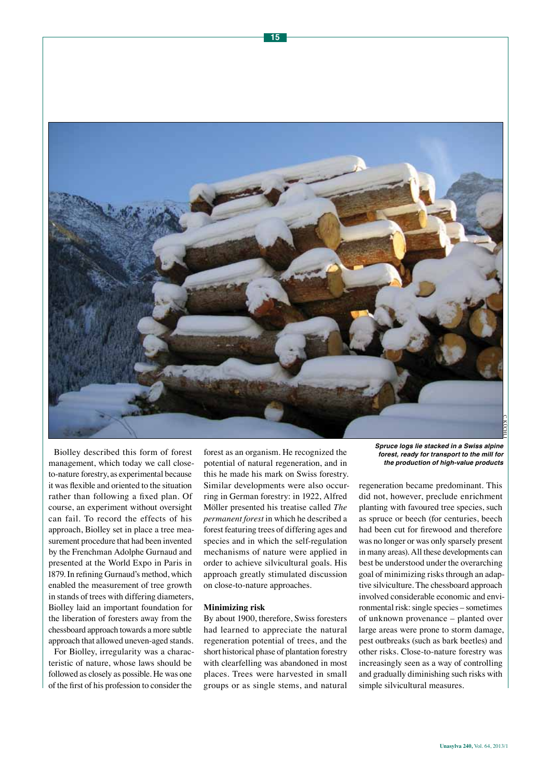

Biolley described this form of forest management, which today we call closeto-nature forestry, as experimental because it was flexible and oriented to the situation rather than following a fixed plan. Of course, an experiment without oversight can fail. To record the effects of his approach, Biolley set in place a tree measurement procedure that had been invented by the Frenchman Adolphe Gurnaud and presented at the World Expo in Paris in 1879. In refining Gurnaud's method, which enabled the measurement of tree growth in stands of trees with differing diameters, Biolley laid an important foundation for the liberation of foresters away from the chessboard approach towards a more subtle approach that allowed uneven-aged stands.

For Biolley, irregularity was a characteristic of nature, whose laws should be followed as closely as possible. He was one of the first of his profession to consider the

forest as an organism. He recognized the potential of natural regeneration, and in this he made his mark on Swiss forestry. Similar developments were also occurring in German forestry: in 1922, Alfred Möller presented his treatise called *The permanent forest* in which he described a forest featuring trees of differing ages and species and in which the self-regulation mechanisms of nature were applied in order to achieve silvicultural goals. His approach greatly stimulated discussion on close-to-nature approaches.

#### **Minimizing risk**

By about 1900, therefore, Swiss foresters had learned to appreciate the natural regeneration potential of trees, and the short historical phase of plantation forestry with clearfelling was abandoned in most places. Trees were harvested in small groups or as single stems, and natural

**Spruce logs lie stacked in a Swiss alpine forest, ready for transport to the mill for the production of high-value products**

regeneration became predominant. This did not, however, preclude enrichment planting with favoured tree species, such as spruce or beech (for centuries, beech had been cut for firewood and therefore was no longer or was only sparsely present in many areas). All these developments can best be understood under the overarching goal of minimizing risks through an adaptive silviculture. The chessboard approach involved considerable economic and environmental risk: single species – sometimes of unknown provenance – planted over large areas were prone to storm damage, pest outbreaks (such as bark beetles) and other risks. Close-to-nature forestry was increasingly seen as a way of controlling and gradually diminishing such risks with simple silvicultural measures.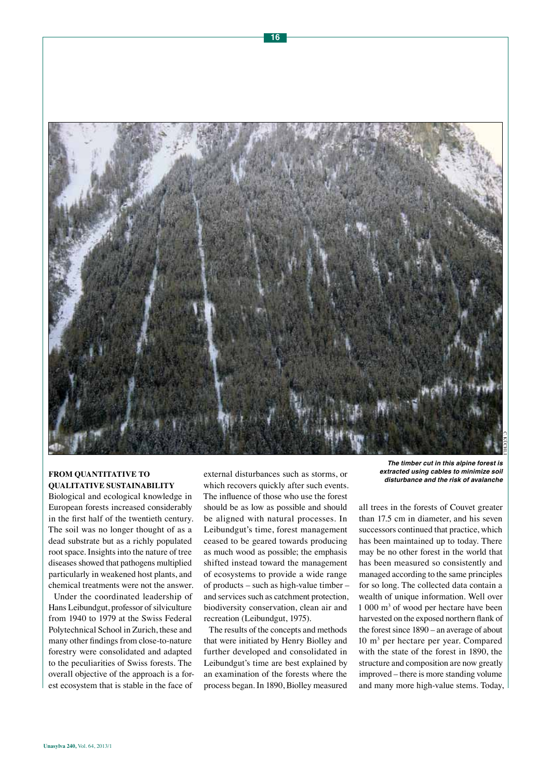

# **FROM QUANTITATIVE TO QUALITATIVE SUSTAINABILITY**

Biological and ecological knowledge in European forests increased considerably in the first half of the twentieth century. The soil was no longer thought of as a dead substrate but as a richly populated root space. Insights into the nature of tree diseases showed that pathogens multiplied particularly in weakened host plants, and chemical treatments were not the answer.

Under the coordinated leadership of Hans Leibundgut, professor of silviculture from 1940 to 1979 at the Swiss Federal Polytechnical School in Zurich, these and many other findings from close-to-nature forestry were consolidated and adapted to the peculiarities of Swiss forests. The overall objective of the approach is a forest ecosystem that is stable in the face of

external disturbances such as storms, or which recovers quickly after such events. The influence of those who use the forest should be as low as possible and should be aligned with natural processes. In Leibundgut's time, forest management ceased to be geared towards producing as much wood as possible; the emphasis shifted instead toward the management of ecosystems to provide a wide range of products – such as high-value timber – and services such as catchment protection, biodiversity conservation, clean air and recreation (Leibundgut, 1975).

The results of the concepts and methods that were initiated by Henry Biolley and further developed and consolidated in Leibundgut's time are best explained by an examination of the forests where the process began. In 1890, Biolley measured

**The timber cut in this alpine forest is extracted using cables to minimize soil disturbance and the risk of avalanche**

all trees in the forests of Couvet greater than 17.5 cm in diameter, and his seven successors continued that practice, which has been maintained up to today. There may be no other forest in the world that has been measured so consistently and managed according to the same principles for so long. The collected data contain a wealth of unique information. Well over 1 000 m3 of wood per hectare have been harvested on the exposed northern flank of the forest since 1890 – an average of about 10 m3 per hectare per year. Compared with the state of the forest in 1890, the structure and composition are now greatly improved – there is more standing volume and many more high-value stems. Today,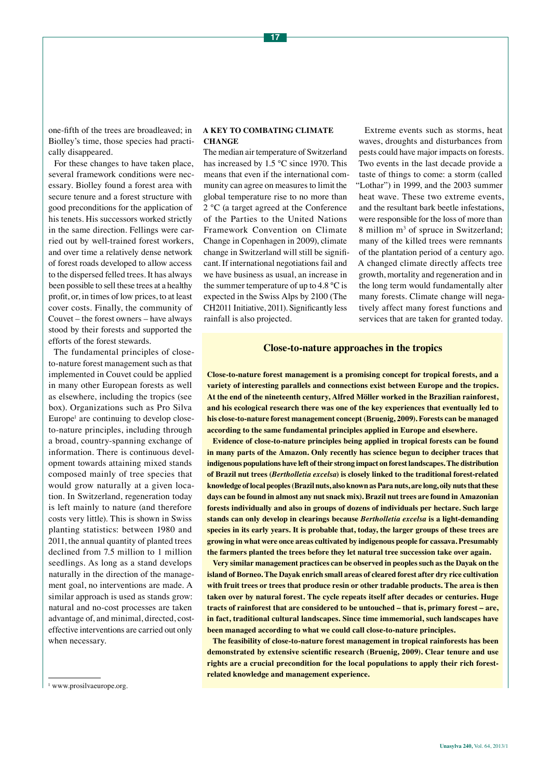one-fifth of the trees are broadleaved; in Biolley's time, those species had practically disappeared.

For these changes to have taken place, several framework conditions were necessary. Biolley found a forest area with secure tenure and a forest structure with good preconditions for the application of his tenets. His successors worked strictly in the same direction. Fellings were carried out by well-trained forest workers, and over time a relatively dense network of forest roads developed to allow access to the dispersed felled trees. It has always been possible to sell these trees at a healthy profit, or, in times of low prices, to at least cover costs. Finally, the community of Couvet – the forest owners – have always stood by their forests and supported the efforts of the forest stewards.

The fundamental principles of closeto-nature forest management such as that implemented in Couvet could be applied in many other European forests as well as elsewhere, including the tropics (see box). Organizations such as Pro Silva Europe<sup>1</sup> are continuing to develop closeto-nature principles, including through a broad, country-spanning exchange of information. There is continuous development towards attaining mixed stands composed mainly of tree species that would grow naturally at a given location. In Switzerland, regeneration today is left mainly to nature (and therefore costs very little). This is shown in Swiss planting statistics: between 1980 and 2011, the annual quantity of planted trees declined from 7.5 million to 1 million seedlings. As long as a stand develops naturally in the direction of the management goal, no interventions are made. A similar approach is used as stands grow: natural and no-cost processes are taken advantage of, and minimal, directed, costeffective interventions are carried out only when necessary.

#### **A KEY TO COMBATING CLIMATE CHANGE**

The median air temperature of Switzerland has increased by 1.5 °C since 1970. This means that even if the international community can agree on measures to limit the global temperature rise to no more than 2 °C (a target agreed at the Conference of the Parties to the United Nations Framework Convention on Climate Change in Copenhagen in 2009), climate change in Switzerland will still be significant. If international negotiations fail and we have business as usual, an increase in the summer temperature of up to 4.8  $^{\circ}$ C is expected in the Swiss Alps by 2100 (The CH2011 Initiative, 2011). Significantly less rainfall is also projected.

Extreme events such as storms, heat waves, droughts and disturbances from pests could have major impacts on forests. Two events in the last decade provide a taste of things to come: a storm (called "Lothar") in 1999, and the 2003 summer heat wave. These two extreme events, and the resultant bark beetle infestations, were responsible for the loss of more than 8 million m<sup>3</sup> of spruce in Switzerland; many of the killed trees were remnants of the plantation period of a century ago. A changed climate directly affects tree growth, mortality and regeneration and in the long term would fundamentally alter many forests. Climate change will negatively affect many forest functions and services that are taken for granted today.

## **Close-to-nature approaches in the tropics**

**Close-to-nature forest management is a promising concept for tropical forests, and a variety of interesting parallels and connections exist between Europe and the tropics. At the end of the nineteenth century, Alfred Möller worked in the Brazilian rainforest, and his ecological research there was one of the key experiences that eventually led to his close-to-nature forest management concept (Bruenig, 2009). Forests can be managed according to the same fundamental principles applied in Europe and elsewhere.** 

**Evidence of close-to-nature principles being applied in tropical forests can be found in many parts of the Amazon. Only recently has science begun to decipher traces that indigenous populations have left of their strong impact on forest landscapes. The distribution of Brazil nut trees (***Bertholletia excelsa***) is closely linked to the traditional forest-related knowledge of local peoples (Brazil nuts, also known as Para nuts, are long, oily nuts that these days can be found in almost any nut snack mix). Brazil nut trees are found in Amazonian forests individually and also in groups of dozens of individuals per hectare. Such large stands can only develop in clearings because** *Bertholletia excelsa* **is a light-demanding species in its early years. It is probable that, today, the larger groups of these trees are growing in what were once areas cultivated by indigenous people for cassava. Presumably the farmers planted the trees before they let natural tree succession take over again.** 

**Very similar management practices can be observed in peoples such as the Dayak on the island of Borneo. The Dayak enrich small areas of cleared forest after dry rice cultivation with fruit trees or trees that produce resin or other tradable products. The area is then taken over by natural forest. The cycle repeats itself after decades or centuries. Huge tracts of rainforest that are considered to be untouched – that is, primary forest – are, in fact, traditional cultural landscapes. Since time immemorial, such landscapes have been managed according to what we could call close-to-nature principles.**

**The feasibility of close-to-nature forest management in tropical rainforests has been demonstrated by extensive scientific research (Bruenig, 2009). Clear tenure and use rights are a crucial precondition for the local populations to apply their rich forestrelated knowledge and management experience.** 

<sup>&</sup>lt;sup>1</sup> www.prosilvaeurope.org.